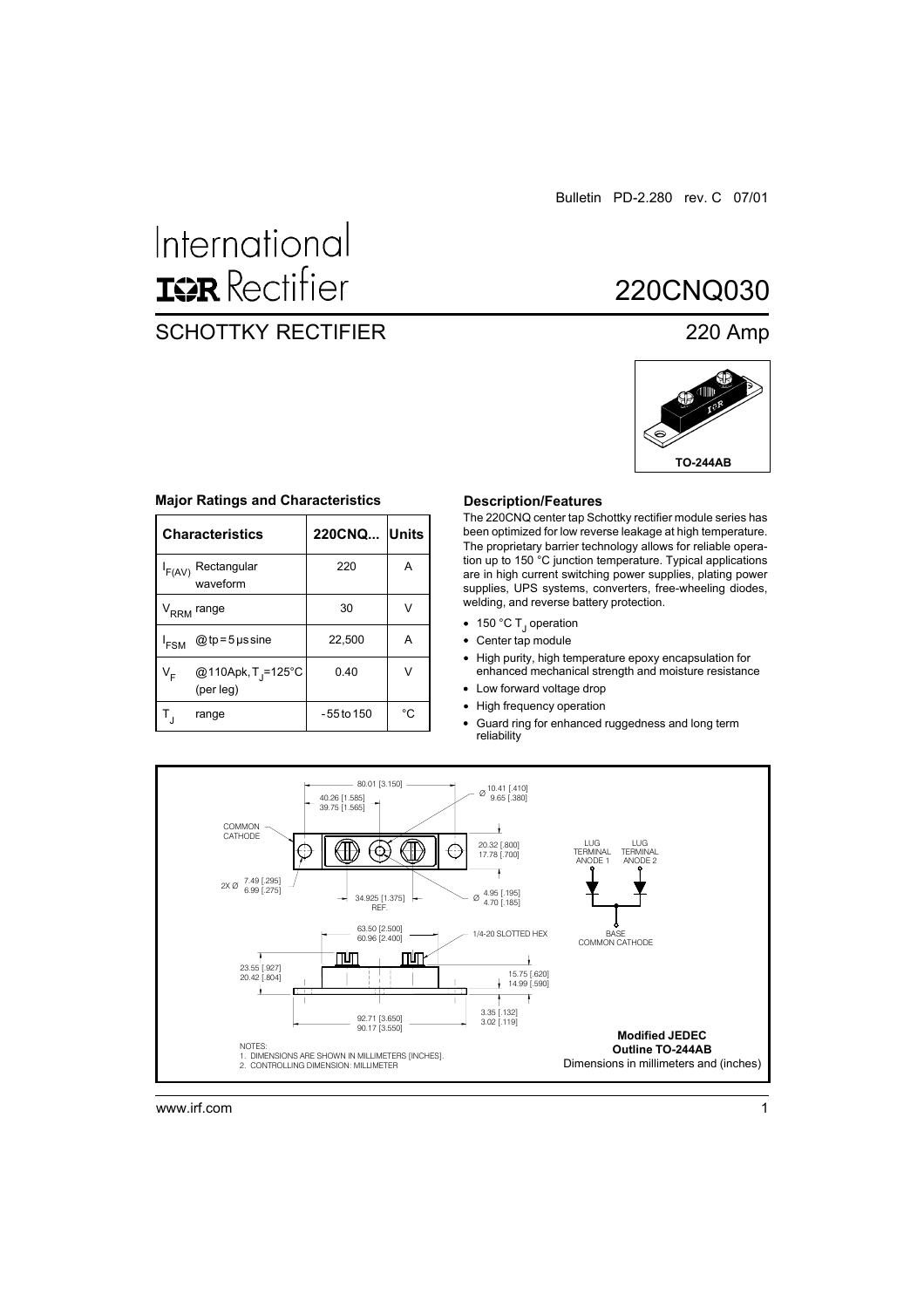Bulletin PD-2.280 rev. C 07/01

# International **ISR** Rectifier

### SCHOTTKY RECTIFIER 220 Amp

## 220CNQ030



| <b>Characteristics</b>              | 220CNQ Units |  |
|-------------------------------------|--------------|--|
| $I_{F(AV)}$ Rectangular<br>waveform | 220          |  |
| ′ <sub>RRM</sub> range              | 30           |  |

 $@tp=5$ µs sine 22,500 A

VF @110Apk, TJ =125°C 0.40 V

 $T_{\rm J}$  range  $\vert$  -55 to 150  $\vert$  °C

#### **Major Ratings and Characteristics**

#### **Description/Features**

The 220CNQ center tap Schottky rectifier module series has been optimized for low reverse leakage at high temperature. The proprietary barrier technology allows for reliable operation up to 150 °C junction temperature. Typical applications are in high current switching power supplies, plating power supplies, UPS systems, converters, free-wheeling diodes, welding, and reverse battery protection.

- 150 °C T<sub>J</sub> operation
- Center tap module
- High purity, high temperature epoxy encapsulation for enhanced mechanical strength and moisture resistance
- Low forward voltage drop
- High frequency operation  $\bullet$
- Guard ring for enhanced ruggedness and long term  $\bullet$ reliability



www.irf.com 1

 $I_{FSM}$ 

(per leg)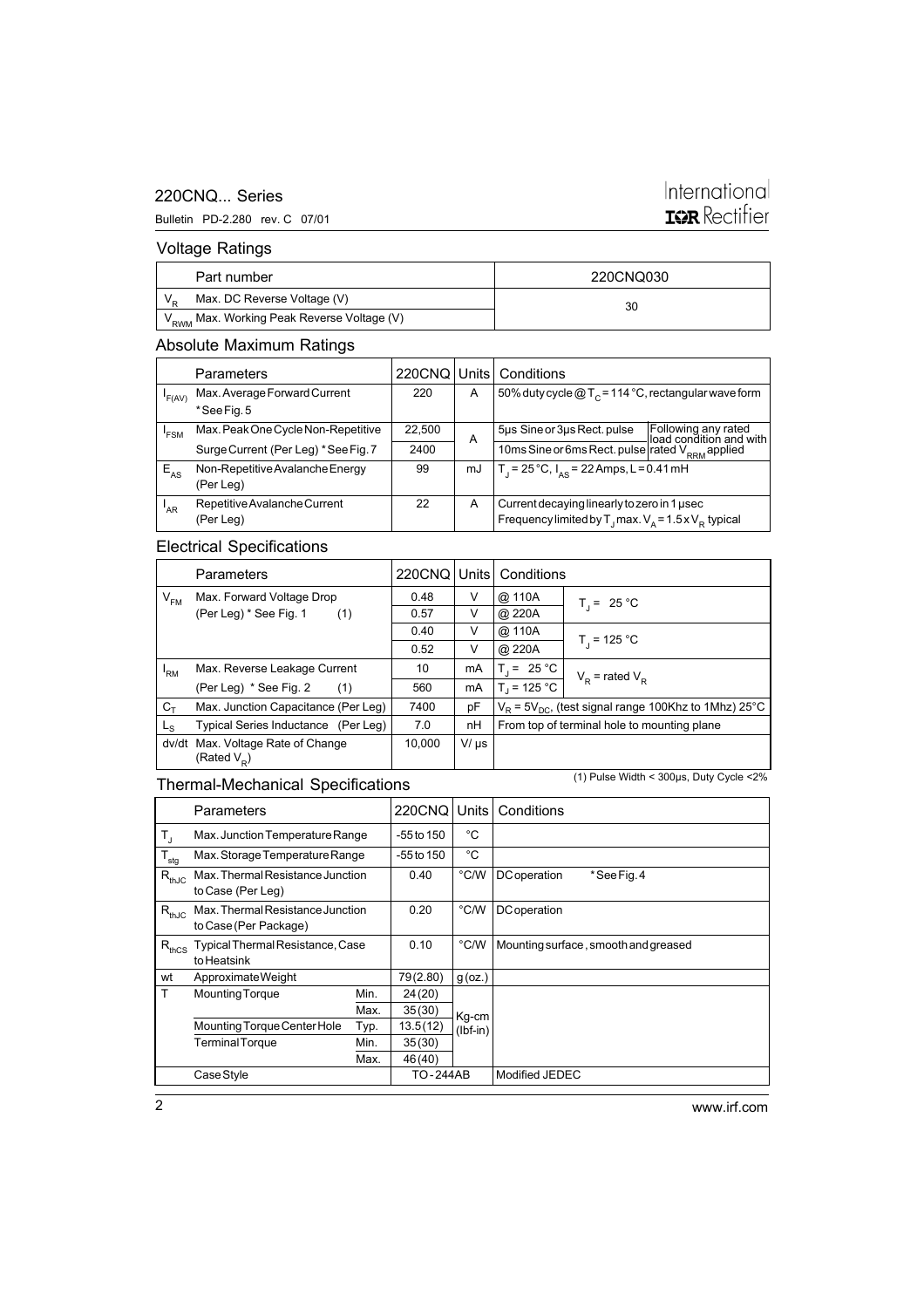### 220CNQ... Series

#### Bulletin PD-2.280 rev. C 07/01

### International **IGR** Rectifier

### Voltage Ratings

| Part number                                             | 220CNQ030 |  |  |
|---------------------------------------------------------|-----------|--|--|
| Max. DC Reverse Voltage (V)                             | 30        |  |  |
| 'V <sub>RWM</sub> Max. Working Peak Reverse Voltage (V) |           |  |  |

### Absolute Maximum Ratings

|                  | Parameters                                   |        |    | 220CNQ Units Conditions                                                                                                                  |                                                |
|------------------|----------------------------------------------|--------|----|------------------------------------------------------------------------------------------------------------------------------------------|------------------------------------------------|
| 'F(AV)           | Max. Average Forward Current                 | 220    | A  | 50% duty cycle $@T_c = 114 °C$ , rectangular wave form                                                                                   |                                                |
|                  | *See Fig. 5                                  |        |    |                                                                                                                                          |                                                |
| <sup>'</sup> FSM | Max. Peak One Cycle Non-Repetitive           | 22,500 | A  | 5µs Sine or 3µs Rect. pulse                                                                                                              | Following any rated<br>load condition and with |
|                  | Surge Current (Per Leg) * See Fig. 7         | 2400   |    | 10ms Sine or 6ms Rect. pulse rated $V_{RRM}$ applied                                                                                     |                                                |
| $E_{AS}$         | Non-Repetitive Avalanche Energy<br>(Per Leg) | 99     | mJ | T <sub>1</sub> = 25 °C, $I_{AS}$ = 22 Amps, L = 0.41 mH                                                                                  |                                                |
| AR <sup></sup>   | Repetitive Avalanche Current<br>(Per Leg)    | 22     | A  | Current decaying linearly to zero in 1 used<br>Frequency limited by $T_{\text{J}}$ max. $V_{\text{A}} = 1.5 \times V_{\text{p}}$ typical |                                                |

### Electrical Specifications

|                | <b>Parameters</b>                                   |        |           | 220CNQ   Units   Conditions                                  |                     |
|----------------|-----------------------------------------------------|--------|-----------|--------------------------------------------------------------|---------------------|
| $V_{FM}$       | Max. Forward Voltage Drop                           | 0.48   | V         | @ 110A                                                       | $T_1 = 25 °C$       |
|                | (Per Leg) * See Fig. 1<br>(1)                       | 0.57   | V         | @ 220A                                                       |                     |
|                |                                                     | 0.40   | V         | @ 110A                                                       |                     |
|                |                                                     | 0.52   | V         | @ 220A                                                       | $T_{1}$ = 125 °C    |
| 'RM            | Max. Reverse Leakage Current                        | 10     | mA        | $T = 25 °C$                                                  | $V_p$ = rated $V_p$ |
|                | (Per Leg) * See Fig. 2<br>(1)                       | 560    | mA        | $T_1 = 125 °C$                                               |                     |
| $C_T$          | Max. Junction Capacitance (Per Leg)                 | 7400   | pF        | $V_R$ = 5 $V_{DC}$ , (test signal range 100Khz to 1Mhz) 25°C |                     |
| L <sub>S</sub> | Typical Series Inductance (Per Leg)                 | 7.0    | nH        | From top of terminal hole to mounting plane                  |                     |
| dv/dt          | Max. Voltage Rate of Change<br>(Rated $V_{\rm p}$ ) | 10.000 | $V/\mu s$ |                                                              |                     |

### Thermal-Mechanical Specifications

(1) Pulse Width < 300µs, Duty Cycle <2%

|                                               | Parameters                                                |      | <b>220CNQ</b> | Units         | Conditions                           |
|-----------------------------------------------|-----------------------------------------------------------|------|---------------|---------------|--------------------------------------|
| $T_{\rm J}$                                   | Max. Junction Temperature Range                           |      | $-55$ to 150  | °C            |                                      |
| $'$ T $_{\underline{\underline{\tiny{stg}}}}$ | Max. Storage Temperature Range                            |      | -55 to 150    | °C            |                                      |
| $R_{thJC}$                                    | Max. Thermal Resistance Junction<br>to Case (Per Leg)     |      | 0.40          | $\degree$ C/W | <b>DC</b> operation<br>*See Fig. 4   |
| $R_{thJC}$                                    | Max. Thermal Resistance Junction<br>to Case (Per Package) |      | 0.20          | °C/W          | <b>DC</b> operation                  |
| $R_{thCS}$                                    | Typical Thermal Resistance, Case<br>to Heatsink           |      | 0.10          | $\degree$ C/W | Mounting surface, smooth and greased |
| wt                                            | Approximate Weight                                        |      | 79(2.80)      | g(oz.)        |                                      |
| T                                             | <b>Mounting Torque</b>                                    | Min. | 24 (20)       |               |                                      |
|                                               |                                                           | Max. | 35(30)        | Kq-cm         |                                      |
|                                               | Mounting Torque Center Hole                               | Typ. | 13.5(12)      | $(lbf-in)$    |                                      |
|                                               | <b>Terminal Torque</b>                                    | Min. | 35(30)        |               |                                      |
|                                               |                                                           | Max. | 46(40)        |               |                                      |
|                                               | Case Style                                                |      | TO-244AB      |               | Modified JEDEC                       |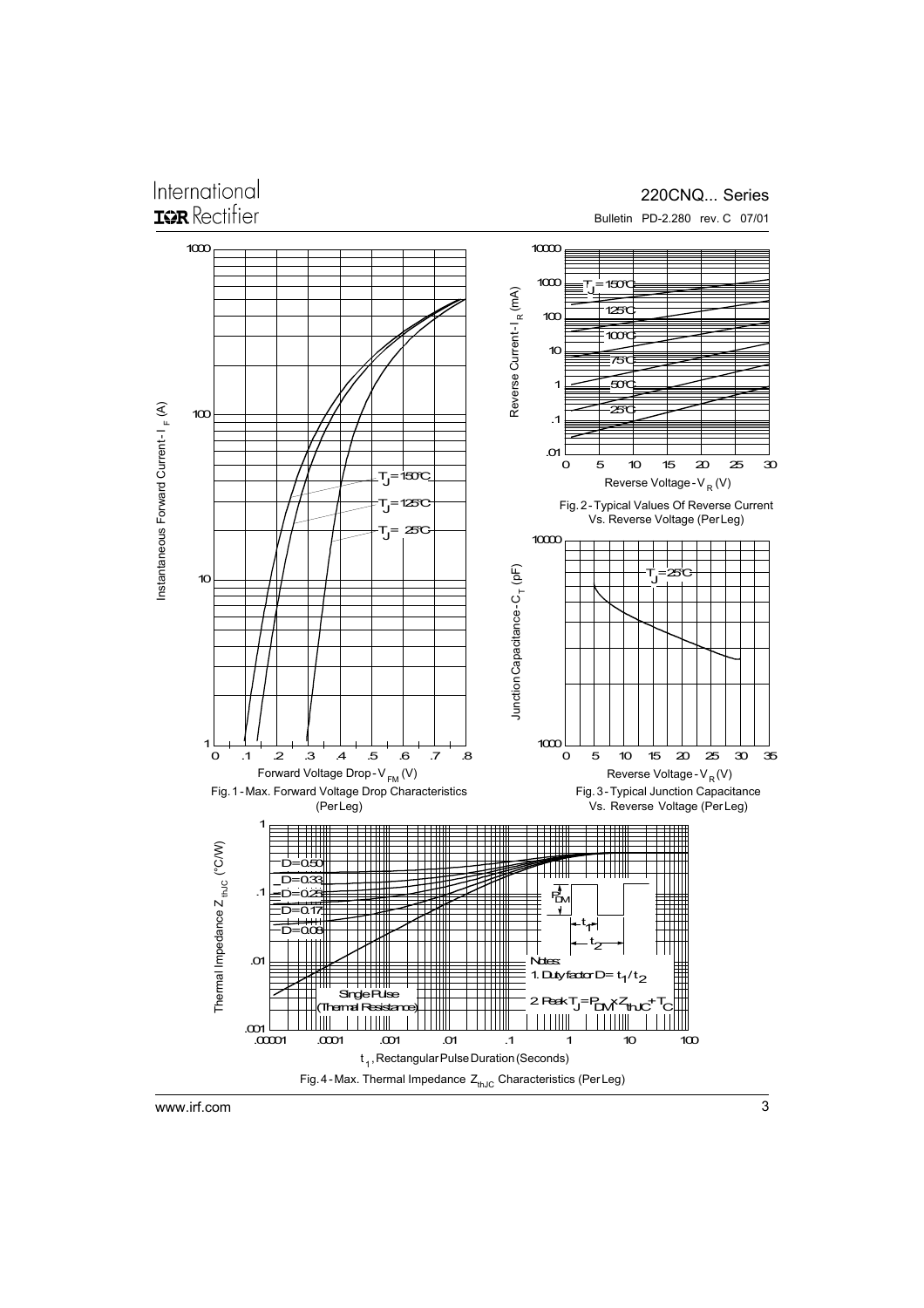### International **ISR** Rectifier

### 220CNQ... Series Bulletin PD-2.280 rev. C 07/01

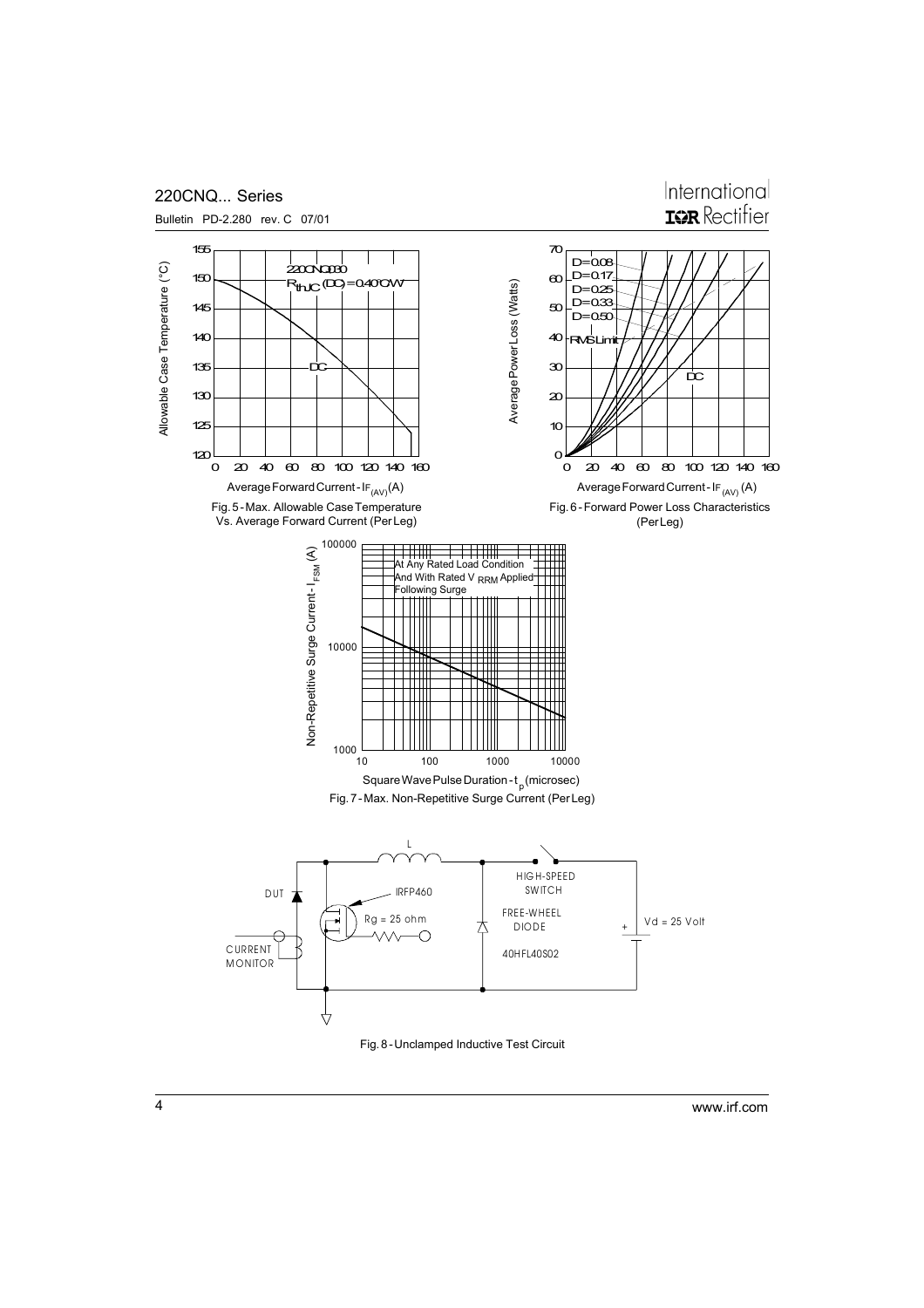